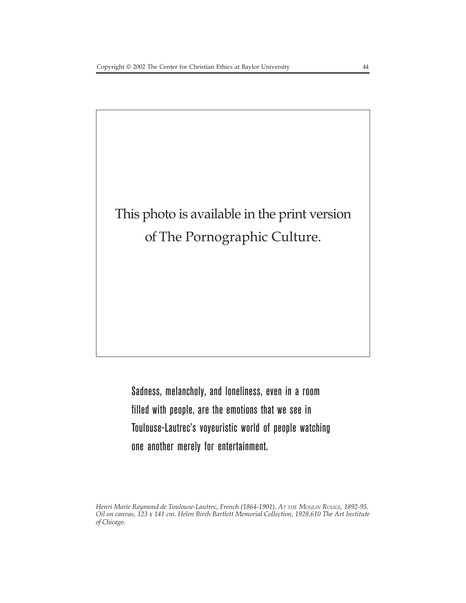This photo is available in the print version of The Pornographic Culture.

Sadness, melancholy, and loneliness, even in a room filled with people, are the emotions that we see in Toulouse-Lautrec's voyeuristic world of people watching one another merely for entertainment.

*Henri Marie Raymond de Toulouse-Lautrec, French (1864-1901), AT THE MOULIN ROUGE, 1892-95. Oil on canvas, 123 x 141 cm. Helen Birch Bartlett Memorial Collection, 1928.610 The Art Institute of Chicago.*